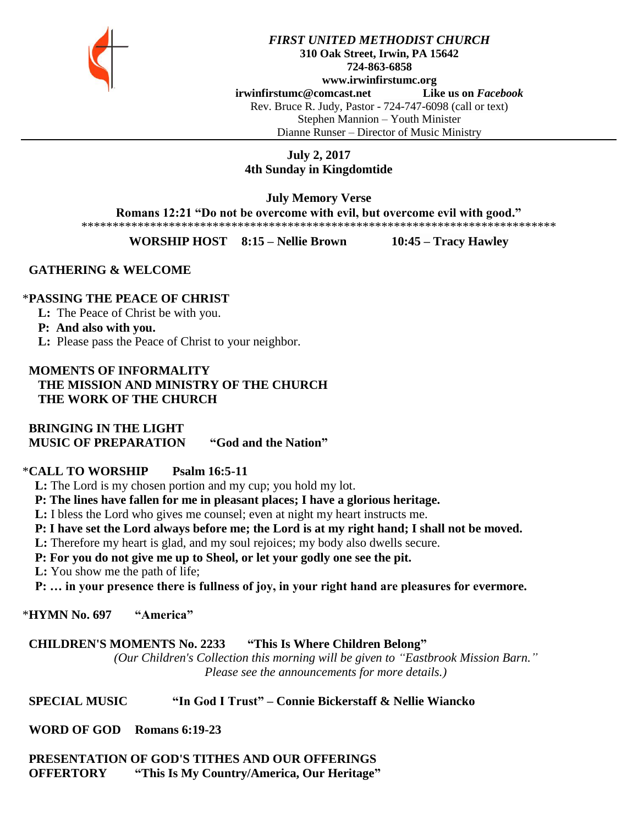

*FIRST UNITED METHODIST CHURCH* **310 Oak Street, Irwin, PA 15642 724-863-6858 www.irwinfirstumc.org [irwinfirstumc@comcast.net](mailto:irwinfirstumc@comcast.net) Like us on** *Facebook* Rev. Bruce R. Judy, Pastor - 724-747-6098 (call or text) Stephen Mannion – Youth Minister Dianne Runser – Director of Music Ministry

# **July 2, 2017 4th Sunday in Kingdomtide**

**July Memory Verse Romans 12:21 "Do not be overcome with evil, but overcome evil with good."** \*\*\*\*\*\*\*\*\*\*\*\*\*\*\*\*\*\*\*\*\*\*\*\*\*\*\*\*\*\*\*\*\*\*\*\*\*\*\*\*\*\*\*\*\*\*\*\*\*\*\*\*\*\*\*\*\*\*\*\*\*\*\*\*\*\*\*\*\*\*\*\*\*\*\*\*

**WORSHIP HOST 8:15 – Nellie Brown 10:45 – Tracy Hawley**

## **GATHERING & WELCOME**

## \***PASSING THE PEACE OF CHRIST**

**L:** The Peace of Christ be with you.

## **P: And also with you.**

**L:** Please pass the Peace of Christ to your neighbor.

## **MOMENTS OF INFORMALITY THE MISSION AND MINISTRY OF THE CHURCH THE WORK OF THE CHURCH**

 **BRINGING IN THE LIGHT MUSIC OF PREPARATION "God and the Nation"**

## \***CALL TO WORSHIP Psalm 16:5-11**

 **L:** The Lord is my chosen portion and my cup; you hold my lot.

 **P: The lines have fallen for me in pleasant places; I have a glorious heritage.**

 **L:** I bless the Lord who gives me counsel; even at night my heart instructs me.

 **P: I have set the Lord always before me; the Lord is at my right hand; I shall not be moved.**

 **L:** Therefore my heart is glad, and my soul rejoices; my body also dwells secure.

 **P: For you do not give me up to Sheol, or let your godly one see the pit.**

 **L:** You show me the path of life;

 **P: … in your presence there is fullness of joy, in your right hand are pleasures for evermore.**

## \***HYMN No. 697 "America"**

# **CHILDREN'S MOMENTS No. 2233 "This Is Where Children Belong"**

*(Our Children's Collection this morning will be given to "Eastbrook Mission Barn." Please see the announcements for more details.)*

# **SPECIAL MUSIC "In God I Trust" – Connie Bickerstaff & Nellie Wiancko**

 **WORD OF GOD Romans 6:19-23**

# **PRESENTATION OF GOD'S TITHES AND OUR OFFERINGS OFFERTORY "This Is My Country/America, Our Heritage"**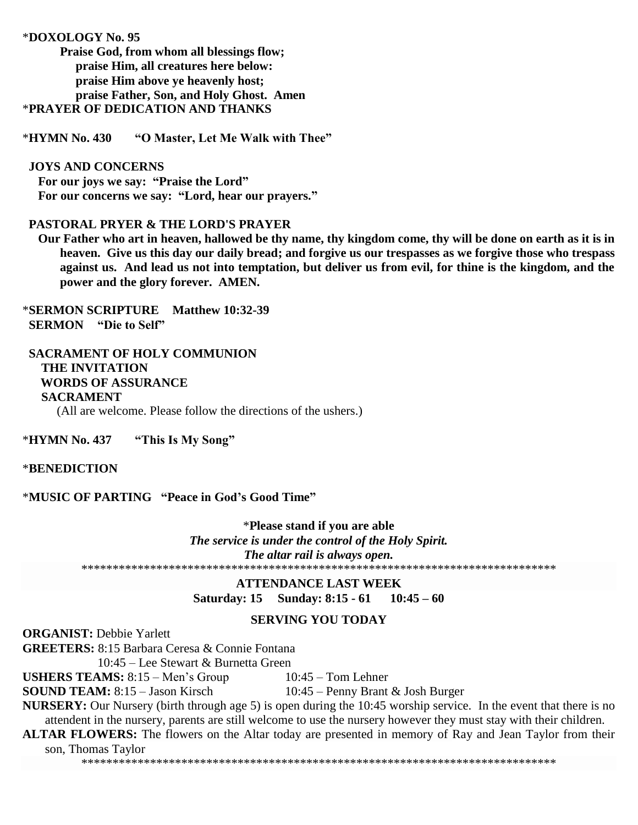#### \***DOXOLOGY No. 95**

**Praise God, from whom all blessings flow; praise Him, all creatures here below: praise Him above ye heavenly host; praise Father, Son, and Holy Ghost. Amen** \***PRAYER OF DEDICATION AND THANKS**

\***HYMN No. 430 "O Master, Let Me Walk with Thee"**

#### **JOYS AND CONCERNS**

 **For our joys we say: "Praise the Lord" For our concerns we say: "Lord, hear our prayers."**

## **PASTORAL PRYER & THE LORD'S PRAYER**

 **Our Father who art in heaven, hallowed be thy name, thy kingdom come, thy will be done on earth as it is in heaven. Give us this day our daily bread; and forgive us our trespasses as we forgive those who trespass against us. And lead us not into temptation, but deliver us from evil, for thine is the kingdom, and the power and the glory forever. AMEN.**

\***SERMON SCRIPTURE Matthew 10:32-39 SERMON "Die to Self"**

## **SACRAMENT OF HOLY COMMUNION THE INVITATION WORDS OF ASSURANCE SACRAMENT** (All are welcome. Please follow the directions of the ushers.)

\***HYMN No. 437 "This Is My Song"**

#### \***BENEDICTION**

\***MUSIC OF PARTING "Peace in God's Good Time"**

\***Please stand if you are able** *The service is under the control of the Holy Spirit. The altar rail is always open.* \*\*\*\*\*\*\*\*\*\*\*\*\*\*\*\*\*\*\*\*\*\*\*\*\*\*\*\*\*\*\*\*\*\*\*\*\*\*\*\*\*\*\*\*\*\*\*\*\*\*\*\*\*\*\*\*\*\*\*\*\*\*\*\*\*\*\*\*\*\*\*\*\*\*\*\*

> **ATTENDANCE LAST WEEK Saturday: 15 Sunday: 8:15 - 61 10:45 – 60**

## **SERVING YOU TODAY**

#### **ORGANIST: Debbie Yarlett**

**GREETERS:** 8:15 Barbara Ceresa & Connie Fontana

10:45 – Lee Stewart & Burnetta Green

**USHERS TEAMS:**  $8:15 - \text{Men's Group}$  10:45 – Tom Lehner

**SOUND TEAM:** 8:15 – Jason Kirsch 10:45 – Penny Brant & Josh Burger

**NURSERY:** Our Nursery (birth through age 5) is open during the 10:45 worship service. In the event that there is no attendent in the nursery, parents are still welcome to use the nursery however they must stay with their children. **ALTAR FLOWERS:** The flowers on the Altar today are presented in memory of Ray and Jean Taylor from their

son, Thomas Taylor

\*\*\*\*\*\*\*\*\*\*\*\*\*\*\*\*\*\*\*\*\*\*\*\*\*\*\*\*\*\*\*\*\*\*\*\*\*\*\*\*\*\*\*\*\*\*\*\*\*\*\*\*\*\*\*\*\*\*\*\*\*\*\*\*\*\*\*\*\*\*\*\*\*\*\*\*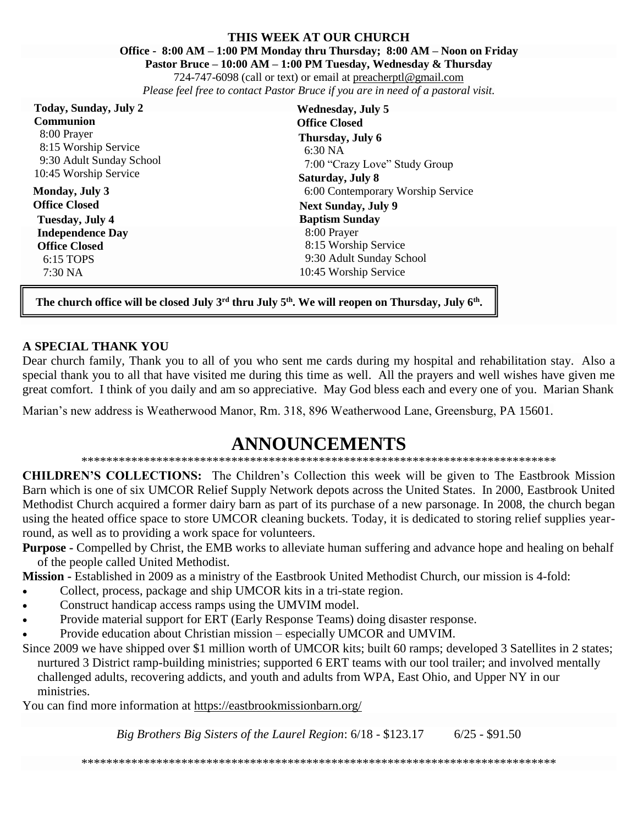#### **THIS WEEK AT OUR CHURCH Office - 8:00 AM – 1:00 PM Monday thru Thursday; 8:00 AM – Noon on Friday Pastor Bruce – 10:00 AM – 1:00 PM Tuesday, Wednesday & Thursday**

724-747-6098 (call or text) or email at [preacherptl@gmail.com](mailto:preacherptl@gmail.com) *Please feel free to contact Pastor Bruce if you are in need of a pastoral visit.*

| Today, Sunday, July 2                                                                    | <b>Wednesday, July 5</b>                                                                |
|------------------------------------------------------------------------------------------|-----------------------------------------------------------------------------------------|
| <b>Communion</b>                                                                         | <b>Office Closed</b>                                                                    |
| 8:00 Prayer<br>8:15 Worship Service<br>9:30 Adult Sunday School<br>10:45 Worship Service | Thursday, July 6<br>6:30 NA<br>7:00 "Crazy Love" Study Group<br><b>Saturday, July 8</b> |
| Monday, July 3                                                                           | 6:00 Contemporary Worship Service                                                       |
| <b>Office Closed</b>                                                                     | <b>Next Sunday, July 9</b>                                                              |
| Tuesday, July 4                                                                          | <b>Baptism Sunday</b>                                                                   |
| <b>Independence Day</b>                                                                  | 8:00 Prayer                                                                             |
| <b>Office Closed</b>                                                                     | 8:15 Worship Service                                                                    |
| 6:15 TOPS                                                                                | 9:30 Adult Sunday School                                                                |
| $7:30\text{ NA}$                                                                         | 10:45 Worship Service                                                                   |

**The church office will be closed July 3rd thru July 5th. We will reopen on Thursday, July 6th .**

## **A SPECIAL THANK YOU**

Dear church family, Thank you to all of you who sent me cards during my hospital and rehabilitation stay. Also a special thank you to all that have visited me during this time as well. All the prayers and well wishes have given me great comfort. I think of you daily and am so appreciative. May God bless each and every one of you. Marian Shank

Marian's new address is Weatherwood Manor, Rm. 318, 896 Weatherwood Lane, Greensburg, PA 15601.

# **ANNOUNCEMENTS**

## \*\*\*\*\*\*\*\*\*\*\*\*\*\*\*\*\*\*\*\*\*\*\*\*\*\*\*\*\*\*\*\*\*\*\*\*\*\*\*\*\*\*\*\*\*\*\*\*\*\*\*\*\*\*\*\*\*\*\*\*\*\*\*\*\*\*\*\*\*\*\*\*\*\*\*\*

**CHILDREN'S COLLECTIONS:** The Children's Collection this week will be given to The Eastbrook Mission Barn which is one of six [UMCOR Relief Supply Network](http://www.umcor.org/UMCOR/Relief-Supplies/Relief-Supply-Network/Relief-Supply-Network) depots across the United States. In 2000, Eastbrook United Methodist Church acquired a former dairy barn as part of its purchase of a new parsonage. In 2008, the church began using the heated office space to store UMCOR cleaning buckets. Today, it is dedicated to storing relief supplies yearround, as well as to providing a work space for volunteers.

**Purpose -** Compelled by Christ, the EMB works to alleviate human suffering and advance hope and healing on behalf of the people called United Methodist.

**Mission -** Established in 2009 as a ministry of the Eastbrook United Methodist Church, our mission is 4-fold:

- Collect, process, package and ship UMCOR kits in a tri-state region.
- Construct handicap access ramps using the UMVIM model.
- Provide material support for ERT (Early Response Teams) doing disaster response.
- Provide education about Christian mission especially UMCOR and UMVIM.
- Since 2009 we have shipped over \$1 million worth of UMCOR kits; built 60 ramps; developed 3 Satellites in 2 states; nurtured 3 District ramp-building ministries; supported 6 ERT teams with our tool trailer; and involved mentally challenged adults, recovering addicts, and youth and adults from WPA, East Ohio, and Upper NY in our ministries.

You can find more information at https://eastbrookmissionbarn.org/

*Big Brothers Big Sisters of the Laurel Region*: 6/18 - \$123.17 6/25 - \$91.50

\*\*\*\*\*\*\*\*\*\*\*\*\*\*\*\*\*\*\*\*\*\*\*\*\*\*\*\*\*\*\*\*\*\*\*\*\*\*\*\*\*\*\*\*\*\*\*\*\*\*\*\*\*\*\*\*\*\*\*\*\*\*\*\*\*\*\*\*\*\*\*\*\*\*\*\*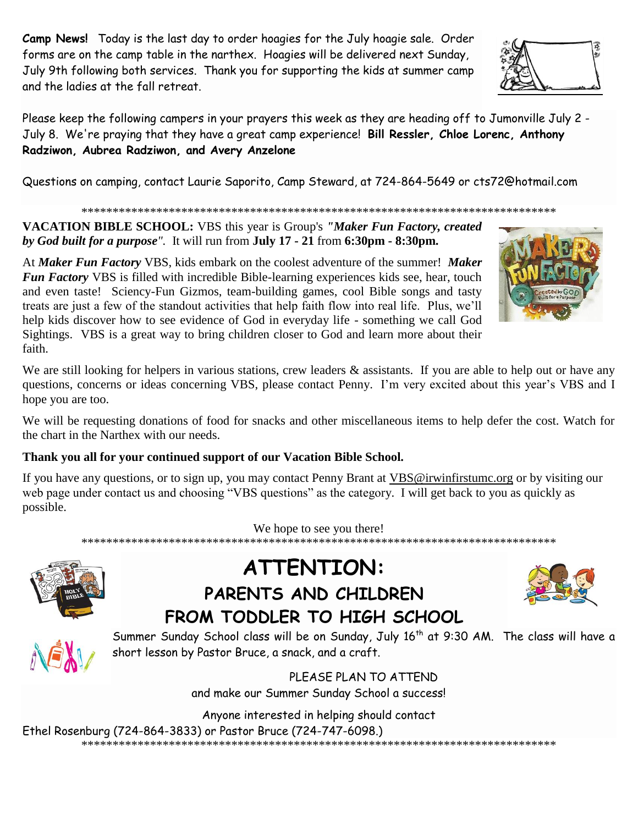**Camp News!** Today is the last day to order hoagies for the July hoagie sale. Order forms are on the camp table in the narthex. Hoagies will be delivered next Sunday, July 9th following both services. Thank you for supporting the kids at summer camp and the ladies at the fall retreat.

Please keep the following campers in your prayers this week as they are heading off to Jumonville July 2 - July 8. We're praying that they have a great camp experience! **Bill Ressler, Chloe Lorenc, Anthony Radziwon, Aubrea Radziwon, and Avery Anzelone**

Questions on camping, contact Laurie Saporito, Camp Steward, at 724-864-5649 or [cts72@hotmail.com](javascript:window.top.ZmObjectManager.__doClickObject(document.getElementById(%22OBJ_PREFIX_DWT1794_com_zimbra_email%22));)

\*\*\*\*\*\*\*\*\*\*\*\*\*\*\*\*\*\*\*\*\*\*\*\*\*\*\*\*\*\*\*\*\*\*\*\*\*\*\*\*\*\*\*\*\*\*\*\*\*\*\*\*\*\*\*\*\*\*\*\*\*\*\*\*\*\*\*\*\*\*\*\*\*\*\*\*

**VACATION BIBLE SCHOOL:** VBS this year is Group's *"Maker Fun Factory, created by God built for a purpose".* It will run from **July 17 - 21** from **6:30pm - 8:30pm.**

At *Maker Fun Factory* VBS, kids embark on the coolest adventure of the summer! *Maker Fun Factory* VBS is filled with incredible Bible-learning experiences kids see, hear, touch and even taste! Sciency-Fun Gizmos, team-building games, cool Bible songs and tasty treats are just a few of the standout activities that help faith flow into real life. Plus, we'll help kids discover how to see evidence of God in everyday life - something we call God Sightings. VBS is a great way to bring children closer to God and learn more about their faith.

We are still looking for helpers in various stations, crew leaders & assistants. If you are able to help out or have any questions, concerns or ideas concerning VBS, please contact Penny. I'm very excited about this year's VBS and I hope you are too.

We will be requesting donations of food for snacks and other miscellaneous items to help defer the cost. Watch for the chart in the Narthex with our needs.

# **Thank you all for your continued support of our Vacation Bible School.**

If you have any questions, or to sign up, you may contact Penny Brant at [VBS@irwinfirstumc.org](mailto:VBS@irwinfirstumc.org) or by visiting our web page under contact us and choosing "VBS questions" as the category. I will get back to you as quickly as possible.

We hope to see you there!

\*\*\*\*\*\*\*\*\*\*\*\*\*\*\*\*\*\*\*\*\*\*\*\*\*\*\*\*\*\*\*\*\*\*\*\*\*\*\*\*\*\*\*\*\*\*\*\*\*\*\*\*\*\*\*\*\*\*\*\*\*\*\*\*\*\*\*\*\*\*\*\*\*\*\*\*



# **ATTENTION: PARENTS AND CHILDREN FROM TODDLER TO HIGH SCHOOL**

Summer Sunday School class will be on Sunday, July 16<sup>th</sup> at 9:30 AM. The class will have a short lesson by Pastor Bruce, a snack, and a craft.

> PLEASE PLAN TO ATTEND and make our Summer Sunday School a success!

Anyone interested in helping should contact

Ethel Rosenburg (724-864-3833) or Pastor Bruce (724-747-6098.)

\*\*\*\*\*\*\*\*\*\*\*\*\*\*\*\*\*\*\*\*\*\*\*\*\*\*\*\*\*\*\*\*\*\*\*\*\*\*\*\*\*\*\*\*\*\*\*\*\*\*\*\*\*\*\*\*\*\*\*\*\*\*\*\*\*\*\*\*\*\*\*\*\*\*\*\*





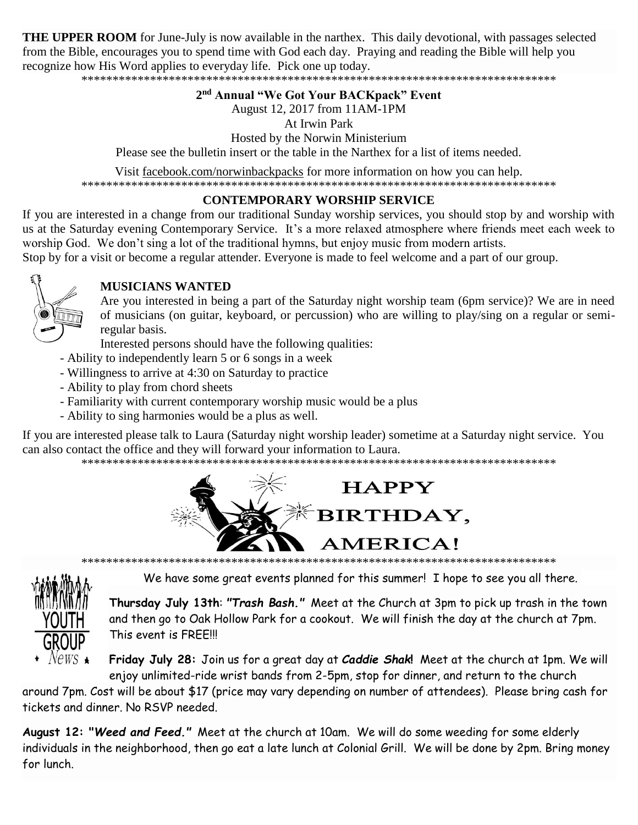**THE UPPER ROOM** for June-July is now available in the narthex. This daily devotional, with passages selected from the Bible, encourages you to spend time with God each day. Praying and reading the Bible will help you recognize how His Word applies to everyday life. Pick one up today.

\*\*\*\*\*\*\*\*\*\*\*\*\*\*\*\*\*\*\*\*\*\*\*\*\*\*\*\*\*\*\*\*\*\*\*\*\*\*\*\*\*\*\*\*\*\*\*\*\*\*\*\*\*\*\*\*\*\*\*\*\*\*\*\*\*\*\*\*\*\*\*\*\*\*\*\*

## **2 nd Annual "We Got Your BACKpack" Event**

August 12, 2017 from 11AM-1PM

At Irwin Park

Hosted by the Norwin Ministerium

Please see the bulletin insert or the table in the Narthex for a list of items needed.

Visit facebook.com/norwinbackpacks for more information on how you can help. \*\*\*\*\*\*\*\*\*\*\*\*\*\*\*\*\*\*\*\*\*\*\*\*\*\*\*\*\*\*\*\*\*\*\*\*\*\*\*\*\*\*\*\*\*\*\*\*\*\*\*\*\*\*\*\*\*\*\*\*\*\*\*\*\*\*\*\*\*\*\*\*\*\*\*\*

## **CONTEMPORARY WORSHIP SERVICE**

If you are interested in a change from our traditional Sunday worship services, you should stop by and worship with us at the Saturday evening Contemporary Service. It's a more relaxed atmosphere where friends meet each week to worship God. We don't sing a lot of the traditional hymns, but enjoy music from modern artists.

Stop by for a visit or become a regular attender. Everyone is made to feel welcome and a part of our group.



# **MUSICIANS WANTED**

Are you interested in being a part of the Saturday night worship team (6pm service)? We are in need of musicians (on guitar, keyboard, or percussion) who are willing to play/sing on a regular or semiregular basis.

Interested persons should have the following qualities:

- Ability to independently learn 5 or 6 songs in a week
- Willingness to arrive at 4:30 on Saturday to practice
- Ability to play from chord sheets
- Familiarity with current contemporary worship music would be a plus
- Ability to sing harmonies would be a plus as well.

If you are interested please talk to Laura (Saturday night worship leader) sometime at a Saturday night service. You can also contact the office and they will forward your information to Laura.

\*\*\*\*\*\*\*\*\*\*\*\*\*\*\*\*\*\*\*\*\*\*\*\*\*\*\*\*\*\*\*\*\*\*\*\*\*\*\*\*\*\*\*\*\*\*\*\*\*\*\*\*\*\*\*\*\*\*\*\*\*\*\*\*\*\*\*\*\*\*\*\*\*\*\*\*





We have some great events planned for this summer! I hope to see you all there.

**Thursday July 13th**: *"Trash Bash."* Meet at the Church at 3pm to pick up trash in the town and then go to Oak Hollow Park for a cookout. We will finish the day at the church at 7pm. This event is FREE!!!

**Friday July 28:** Join us for a great day at *Caddie Shak***!** Meet at the church at 1pm. We will enjoy unlimited-ride wrist bands from 2-5pm, stop for dinner, and return to the church

around 7pm. Cost will be about \$17 (price may vary depending on number of attendees). Please bring cash for tickets and dinner. No RSVP needed.

**August 12: "***Weed and Feed."* Meet at the church at 10am. We will do some weeding for some elderly individuals in the neighborhood, then go eat a late lunch at Colonial Grill. We will be done by 2pm. Bring money for lunch.